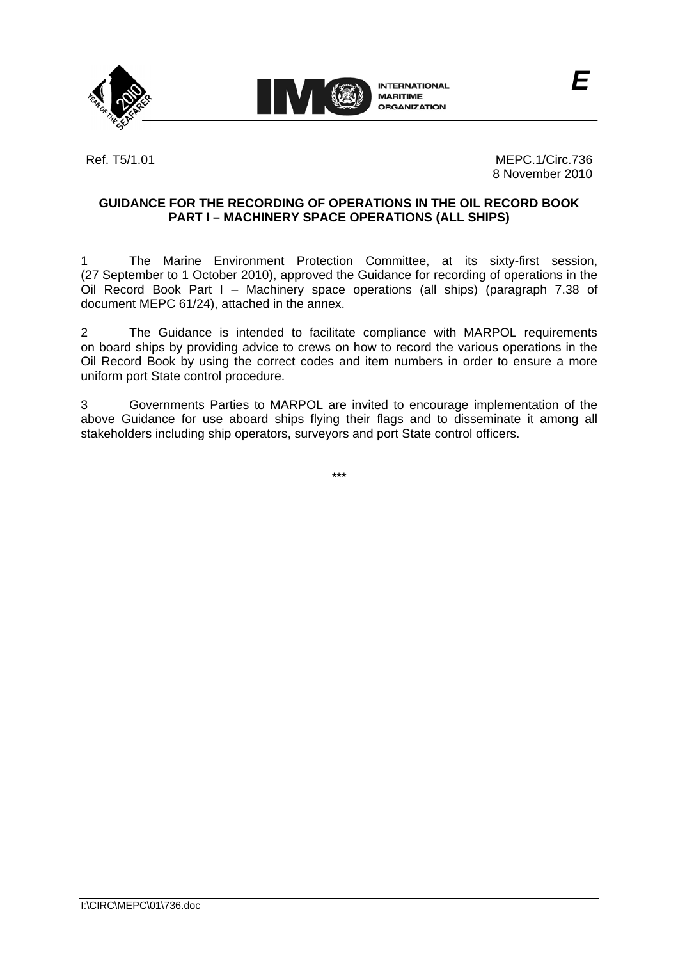



Ref. T5/1.01 **MEPC.1/Circ.736** 8 November 2010

# **GUIDANCE FOR THE RECORDING OF OPERATIONS IN THE OIL RECORD BOOK PART I – MACHINERY SPACE OPERATIONS (ALL SHIPS)**

1 The Marine Environment Protection Committee, at its sixty-first session, (27 September to 1 October 2010), approved the Guidance for recording of operations in the Oil Record Book Part I – Machinery space operations (all ships) (paragraph 7.38 of document MEPC 61/24), attached in the annex.

2 The Guidance is intended to facilitate compliance with MARPOL requirements on board ships by providing advice to crews on how to record the various operations in the Oil Record Book by using the correct codes and item numbers in order to ensure a more uniform port State control procedure.

3 Governments Parties to MARPOL are invited to encourage implementation of the above Guidance for use aboard ships flying their flags and to disseminate it among all stakeholders including ship operators, surveyors and port State control officers.

\*\*\*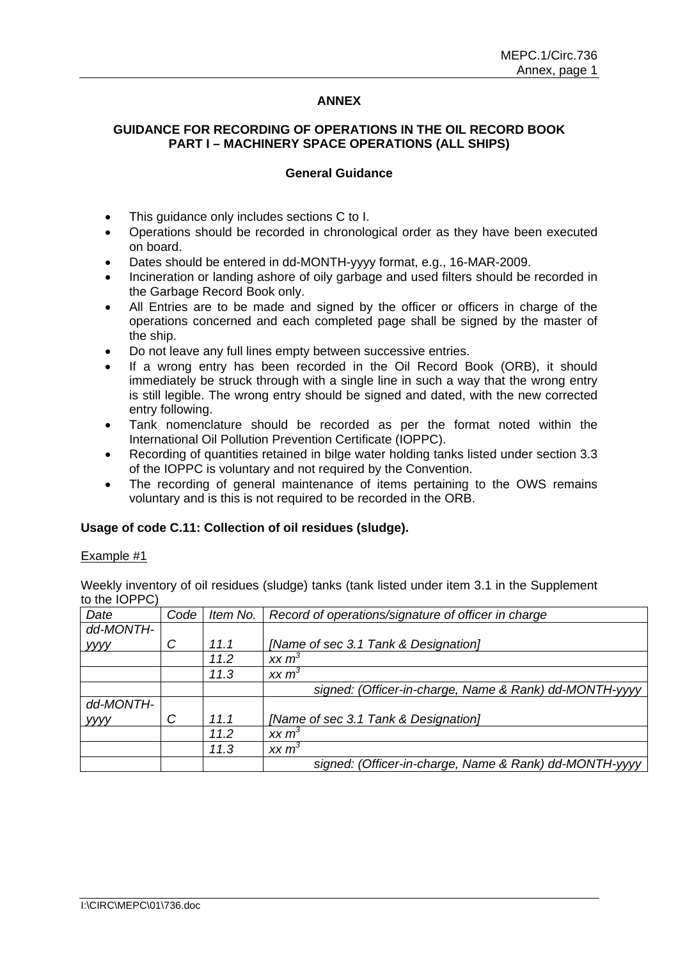### **ANNEX**

# **GUIDANCE FOR RECORDING OF OPERATIONS IN THE OIL RECORD BOOK PART I – MACHINERY SPACE OPERATIONS (ALL SHIPS)**

#### **General Guidance**

- This guidance only includes sections C to I.
- Operations should be recorded in chronological order as they have been executed on board.
- Dates should be entered in dd-MONTH-yyyy format, e.g., 16-MAR-2009.
- Incineration or landing ashore of oily garbage and used filters should be recorded in the Garbage Record Book only.
- All Entries are to be made and signed by the officer or officers in charge of the operations concerned and each completed page shall be signed by the master of the ship.
- Do not leave any full lines empty between successive entries.
- If a wrong entry has been recorded in the Oil Record Book (ORB), it should immediately be struck through with a single line in such a way that the wrong entry is still legible. The wrong entry should be signed and dated, with the new corrected entry following.
- Tank nomenclature should be recorded as per the format noted within the International Oil Pollution Prevention Certificate (IOPPC).
- Recording of quantities retained in bilge water holding tanks listed under section 3.3 of the IOPPC is voluntary and not required by the Convention.
- The recording of general maintenance of items pertaining to the OWS remains voluntary and is this is not required to be recorded in the ORB.

#### **Usage of code C.11: Collection of oil residues (sludge).**

#### Example #1

Weekly inventory of oil residues (sludge) tanks (tank listed under item 3.1 in the Supplement to the IOPPC)

| Date      | Code | Item No. | Record of operations/signature of officer in charge    |
|-----------|------|----------|--------------------------------------------------------|
| dd-MONTH- |      |          |                                                        |
| уууу      | C    | 11.1     | [Name of sec 3.1 Tank & Designation]                   |
|           |      | 11.2     | xx m <sup>3</sup>                                      |
|           |      | 11.3     | xx m <sup>3</sup>                                      |
|           |      |          | signed: (Officer-in-charge, Name & Rank) dd-MONTH-yyyy |
| dd-MONTH- |      |          |                                                        |
| уууу      | C    | 11.1     | [Name of sec 3.1 Tank & Designation]                   |
|           |      | 11.2     | xx m <sup>3</sup>                                      |
|           |      | 11.3     | xx m <sup>3</sup>                                      |
|           |      |          | signed: (Officer-in-charge, Name & Rank) dd-MONTH-yyyy |
|           |      |          |                                                        |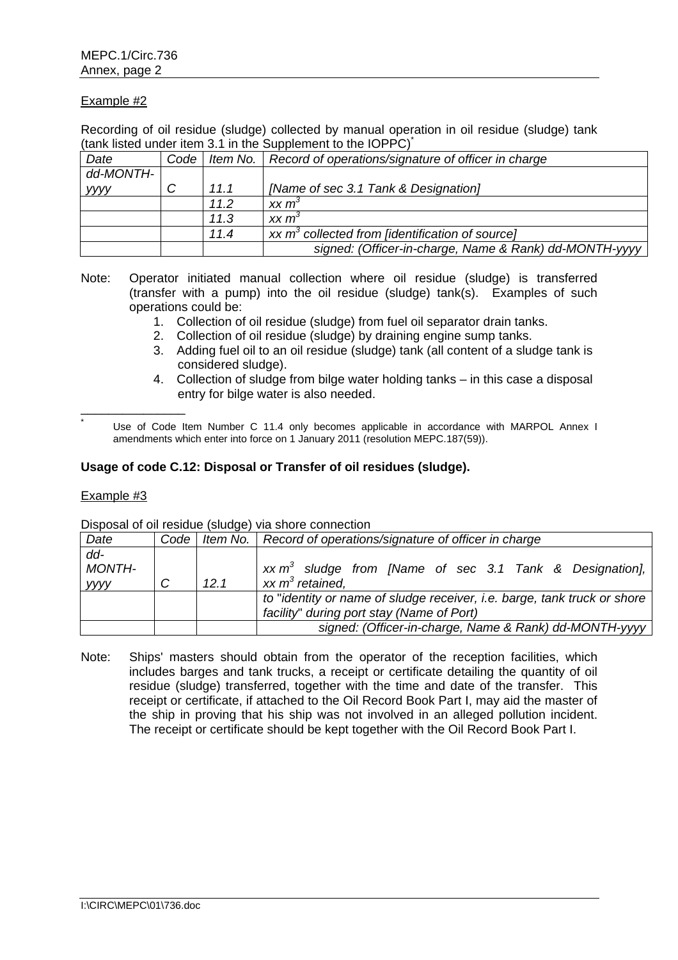Recording of oil residue (sludge) collected by manual operation in oil residue (sludge) tank (tank listed under item 3.1 in the Supplement to the IOPPC)\*

| Date        | Code |      | Item No.   Record of operations/signature of officer in charge |
|-------------|------|------|----------------------------------------------------------------|
| dd-MONTH-   |      |      |                                                                |
| <b>yyyy</b> |      | 11.1 | [Name of sec 3.1 Tank & Designation]                           |
|             |      | 11.2 | xx m <sup>3</sup>                                              |
|             |      | 11.3 | $XX \, m3$                                                     |
|             |      | 11.4 | xx $m^3$ collected from [identification of source]             |
|             |      |      | signed: (Officer-in-charge, Name & Rank) dd-MONTH-yyyy         |

- Note: Operator initiated manual collection where oil residue (sludge) is transferred (transfer with a pump) into the oil residue (sludge) tank(s). Examples of such operations could be:
	- 1. Collection of oil residue (sludge) from fuel oil separator drain tanks.
	- 2. Collection of oil residue (sludge) by draining engine sump tanks.
	- 3. Adding fuel oil to an oil residue (sludge) tank (all content of a sludge tank is considered sludge).
	- 4. Collection of sludge from bilge water holding tanks in this case a disposal entry for bilge water is also needed.

 Use of Code Item Number C 11.4 only becomes applicable in accordance with MARPOL Annex I amendments which enter into force on 1 January 2011 (resolution MEPC.187(59)).

### **Usage of code C.12: Disposal or Transfer of oil residues (sludge).**

#### Example #3

\*

\_\_\_\_\_\_\_\_\_\_\_\_\_\_\_

|                          | <b>Proposal of off roolded</b> (biddge) vid briote commoditori |      |                                                                                                                       |  |
|--------------------------|----------------------------------------------------------------|------|-----------------------------------------------------------------------------------------------------------------------|--|
| Date                     |                                                                |      | Code   Item No.   Record of operations/signature of officer in charge                                                 |  |
| $dd -$<br>MONTH-<br>уууу |                                                                | 12.1 | $xx \, m^3$ sludge from [Name of sec 3.1 Tank & Designation],<br>$xx \, m^3$ retained,                                |  |
|                          |                                                                |      | to "identity or name of sludge receiver, i.e. barge, tank truck or shore<br>facility" during port stay (Name of Port) |  |
|                          |                                                                |      | signed: (Officer-in-charge, Name & Rank) dd-MONTH-yyyy                                                                |  |

Disposal of oil residue (sludge) via shore connection

Note: Ships' masters should obtain from the operator of the reception facilities, which includes barges and tank trucks, a receipt or certificate detailing the quantity of oil residue (sludge) transferred, together with the time and date of the transfer. This receipt or certificate, if attached to the Oil Record Book Part I, may aid the master of the ship in proving that his ship was not involved in an alleged pollution incident. The receipt or certificate should be kept together with the Oil Record Book Part I.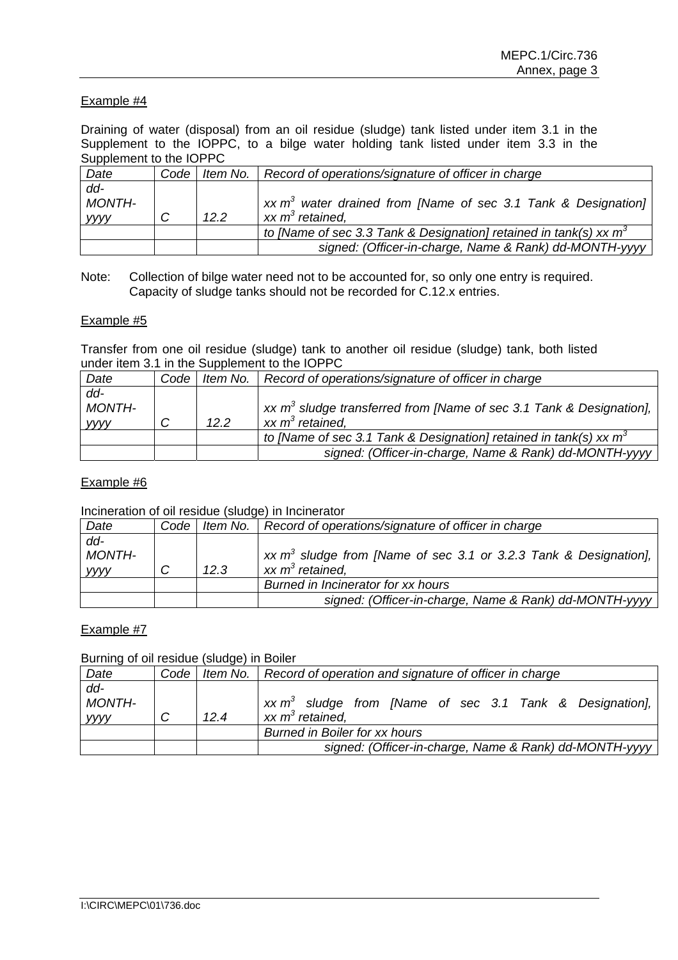Draining of water (disposal) from an oil residue (sludge) tank listed under item 3.1 in the Supplement to the IOPPC, to a bilge water holding tank listed under item 3.3 in the Supplement to the IOPPC

| Date                    |      | Code   Item No.   Record of operations/signature of officer in charge |
|-------------------------|------|-----------------------------------------------------------------------|
| $dd -$<br><b>MONTH-</b> |      | xx $m^3$ water drained from [Name of sec 3.1 Tank & Designation]      |
| уууу                    | 12.2 | $xx \, m^3$ retained.                                                 |
|                         |      | to [Name of sec 3.3 Tank & Designation] retained in tank(s) xx $m^3$  |
|                         |      | signed: (Officer-in-charge, Name & Rank) dd-MONTH-yyyy                |

Note: Collection of bilge water need not to be accounted for, so only one entry is required. Capacity of sludge tanks should not be recorded for C.12.x entries.

### Example #5

Transfer from one oil residue (sludge) tank to another oil residue (sludge) tank, both listed under item 3.1 in the Supplement to the IOPPC

| Date             | Code |      | Item No.   Record of operations/signature of officer in charge         |
|------------------|------|------|------------------------------------------------------------------------|
| $dd -$<br>MONTH- |      |      | xx $m^3$ sludge transferred from [Name of sec 3.1 Tank & Designation], |
| <b>yyyy</b>      |      | 12.2 | $xx m3$ retained.                                                      |
|                  |      |      | to [Name of sec 3.1 Tank & Designation] retained in tank(s) xx $m^3$   |
|                  |      |      | signed: (Officer-in-charge, Name & Rank) dd-MONTH-yyyy                 |

### Example #6

Incineration of oil residue (sludge) in Incinerator

| Date                            |      | Code   Item No.   Record of operations/signature of officer in charge                        |
|---------------------------------|------|----------------------------------------------------------------------------------------------|
| $dd -$<br>MONTH-<br><b>YYYY</b> | 12.3 | xx $m^3$ sludge from [Name of sec 3.1 or 3.2.3 Tank & Designation],<br>$xx \, m^3$ retained, |
|                                 |      | Burned in Incinerator for xx hours                                                           |
|                                 |      | signed: (Officer-in-charge, Name & Rank) dd-MONTH-yyyy                                       |

# Example #7

Burning of oil residue (sludge) in Boiler

| Date                            | Code |      | Item No.   Record of operation and signature of officer in charge                  |
|---------------------------------|------|------|------------------------------------------------------------------------------------|
| $dd -$<br><b>MONTH-</b><br>уууу |      | 12.4 | $xx \, m3$ sludge from [Name of sec 3.1 Tank & Designation],<br>xx $m^3$ retained, |
|                                 |      |      | <b>Burned in Boiler for xx hours</b>                                               |
|                                 |      |      | signed: (Officer-in-charge, Name & Rank) dd-MONTH-yyyy                             |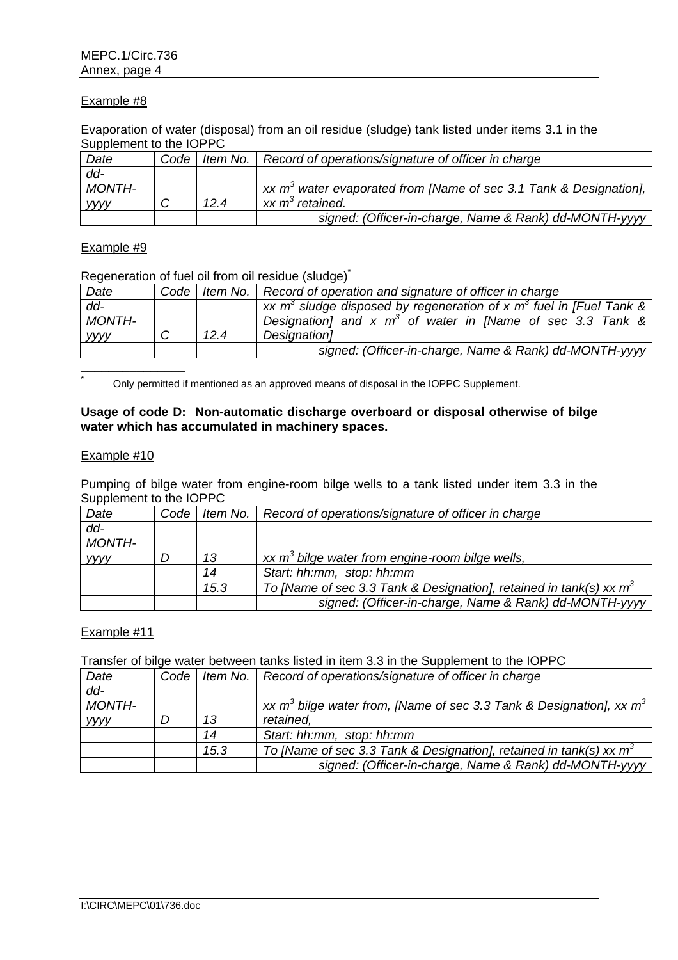Evaporation of water (disposal) from an oil residue (sludge) tank listed under items 3.1 in the Supplement to the IOPPC

| Date        | Code |      | Item No.   Record of operations/signature of officer in charge                        |
|-------------|------|------|---------------------------------------------------------------------------------------|
| dd-         |      |      |                                                                                       |
| MONTH-      |      |      | $\vert$ xx m <sup>3</sup> water evaporated from [Name of sec 3.1 Tank & Designation], |
| <b>VVVV</b> |      | 12.4 | $xx m3$ retained.                                                                     |
|             |      |      | signed: (Officer-in-charge, Name & Rank) dd-MONTH-yyyy                                |

### Example #9

Regeneration of fuel oil from oil residue (sludge)<sup>\*</sup>

| Date             |      | Code   Item No.   Record of operation and signature of officer in charge                                                                         |
|------------------|------|--------------------------------------------------------------------------------------------------------------------------------------------------|
| $dd -$<br>MONTH- |      | xx $m^3$ sludge disposed by regeneration of x $m^3$ fuel in [Fuel Tank & $\vert$<br>Designation] and x $m^3$ of water in [Name of sec 3.3 Tank & |
| уууу             | 12.4 | Designation]                                                                                                                                     |
|                  |      | signed: (Officer-in-charge, Name & Rank) dd-MONTH-yyyy                                                                                           |
|                  |      |                                                                                                                                                  |

Only permitted if mentioned as an approved means of disposal in the IOPPC Supplement.

## **Usage of code D: Non-automatic discharge overboard or disposal otherwise of bilge water which has accumulated in machinery spaces.**

#### Example #10

\*

Pumping of bilge water from engine-room bilge wells to a tank listed under item 3.3 in the Supplement to the IOPPC

| Date          | Code |      | Item No.   Record of operations/signature of officer in charge        |
|---------------|------|------|-----------------------------------------------------------------------|
| $dd -$        |      |      |                                                                       |
| <b>MONTH-</b> |      |      |                                                                       |
| <b>VVVV</b>   |      | 13   | xx $m^3$ bilge water from engine-room bilge wells,                    |
|               |      | 14   | Start: hh:mm, stop: hh:mm                                             |
|               |      | 15.3 | To [Name of sec 3.3 Tank & Designation], retained in tank(s) xx $m^3$ |
|               |      |      | signed: (Officer-in-charge, Name & Rank) dd-MONTH-yyyy                |

### Example #11

Transfer of bilge water between tanks listed in item 3.3 in the Supplement to the IOPPC

| Date                                   | Code |      | Item No.   Record of operations/signature of officer in charge                         |
|----------------------------------------|------|------|----------------------------------------------------------------------------------------|
| $dd -$<br><b>MONTH-</b><br><b>YYYY</b> |      | 13   | xx $m^3$ bilge water from, [Name of sec 3.3 Tank & Designation], xx $m^3$<br>retained, |
|                                        |      | 14   | Start: hh:mm, stop: hh:mm                                                              |
|                                        |      | 15.3 | To [Name of sec 3.3 Tank & Designation], retained in tank(s) xx $m^3$                  |
|                                        |      |      | signed: (Officer-in-charge, Name & Rank) dd-MONTH-yyyy                                 |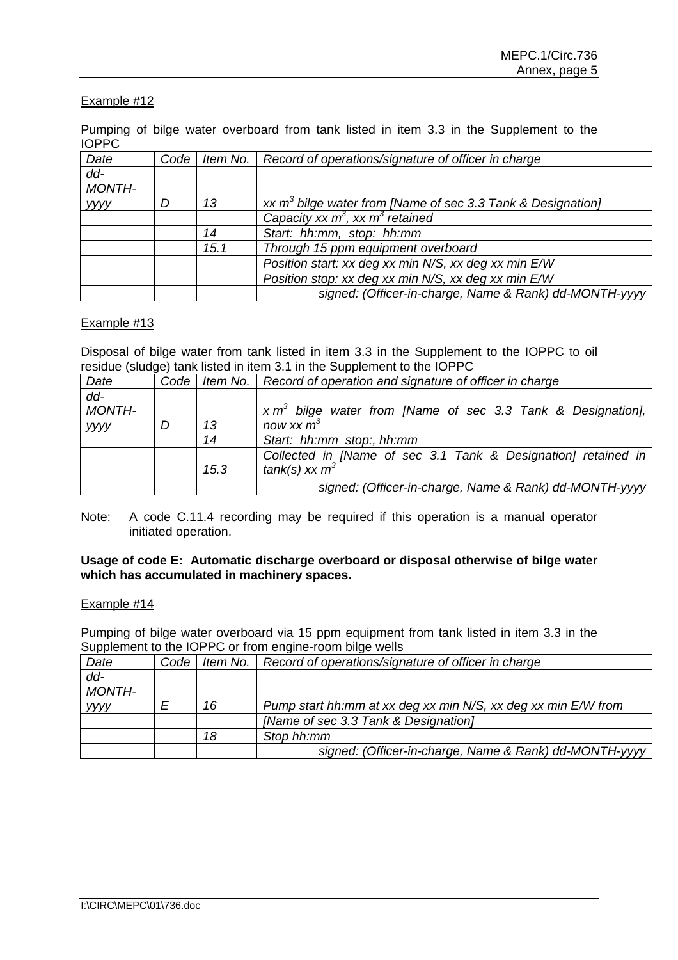Pumping of bilge water overboard from tank listed in item 3.3 in the Supplement to the IOPPC

| Date          | Code | Item No. | Record of operations/signature of officer in charge           |
|---------------|------|----------|---------------------------------------------------------------|
| dd-           |      |          |                                                               |
| <b>MONTH-</b> |      |          |                                                               |
| уууу          |      | 13       | xx $m3$ bilge water from [Name of sec 3.3 Tank & Designation] |
|               |      |          | Capacity xx $m^3$ , xx $m^3$ retained                         |
|               |      | 14       | Start: hh:mm, stop: hh:mm                                     |
|               |      | 15.1     | Through 15 ppm equipment overboard                            |
|               |      |          | Position start: xx deg xx min N/S, xx deg xx min E/W          |
|               |      |          | Position stop: xx deg xx min N/S, xx deg xx min E/W           |
|               |      |          | signed: (Officer-in-charge, Name & Rank) dd-MONTH-yyyy        |

### Example #13

Disposal of bilge water from tank listed in item 3.3 in the Supplement to the IOPPC to oil residue (sludge) tank listed in item 3.1 in the Supplement to the IOPPC

| Date   | Code |      | Item No.   Record of operation and signature of officer in charge |
|--------|------|------|-------------------------------------------------------------------|
| $dd -$ |      |      |                                                                   |
| MONTH- |      |      | $x m3$ bilge water from [Name of sec 3.3 Tank & Designation],     |
| уууу   | D    | 13   | now xx $m^3$                                                      |
|        |      | 14   | Start: hh:mm stop:, hh:mm                                         |
|        |      |      | Collected in [Name of sec 3.1 Tank & Designation] retained in     |
|        |      | 15.3 | tank(s) xx $m^3$                                                  |
|        |      |      | signed: (Officer-in-charge, Name & Rank) dd-MONTH-yyyy            |

Note: A code C.11.4 recording may be required if this operation is a manual operator initiated operation.

### **Usage of code E: Automatic discharge overboard or disposal otherwise of bilge water which has accumulated in machinery spaces.**

#### Example #14

Pumping of bilge water overboard via 15 ppm equipment from tank listed in item 3.3 in the Supplement to the IOPPC or from engine-room bilge wells

| Date        | Code | <i>Item No.</i> $\vert$ | Record of operations/signature of officer in charge           |
|-------------|------|-------------------------|---------------------------------------------------------------|
| $dd -$      |      |                         |                                                               |
| MONTH-      |      |                         |                                                               |
| <b>VVVV</b> |      | 16                      | Pump start hh:mm at xx deg xx min N/S, xx deg xx min E/W from |
|             |      |                         | [Name of sec 3.3 Tank & Designation]                          |
|             |      | 18                      | Stop hh:mm                                                    |
|             |      |                         | signed: (Officer-in-charge, Name & Rank) dd-MONTH-yyyy        |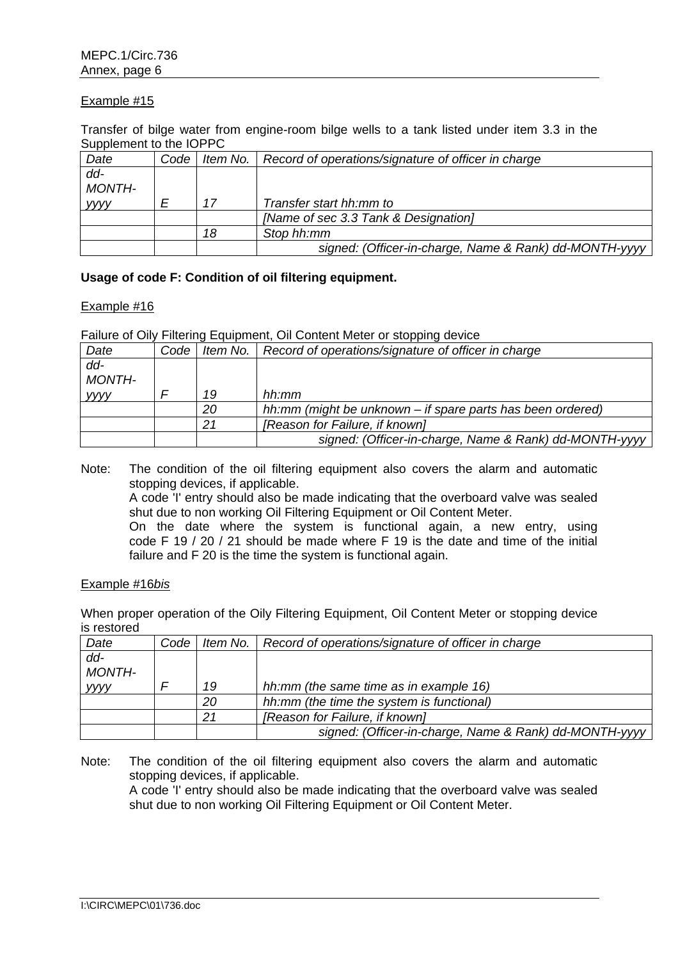Transfer of bilge water from engine-room bilge wells to a tank listed under item 3.3 in the Supplement to the IOPPC

| Date        | Code |    | Item No.   Record of operations/signature of officer in charge |
|-------------|------|----|----------------------------------------------------------------|
| dd-         |      |    |                                                                |
| MONTH-      |      |    |                                                                |
| <b>VVVV</b> |      | 17 | Transfer start hh:mm to                                        |
|             |      |    | [Name of sec 3.3 Tank & Designation]                           |
|             |      | 18 | Stop hh:mm                                                     |
|             |      |    | signed: (Officer-in-charge, Name & Rank) dd-MONTH-yyyy         |

### **Usage of code F: Condition of oil filtering equipment.**

#### Example #16

Failure of Oily Filtering Equipment, Oil Content Meter or stopping device

| Date          | Code |    | Item No.   Record of operations/signature of officer in charge |
|---------------|------|----|----------------------------------------------------------------|
| dd-           |      |    |                                                                |
| <b>MONTH-</b> |      |    |                                                                |
| <b>YYYY</b>   |      | 19 | hh:mm                                                          |
|               |      | 20 | hh:mm (might be unknown – if spare parts has been ordered)     |
|               |      | 21 | [Reason for Failure, if known]                                 |
|               |      |    | signed: (Officer-in-charge, Name & Rank) dd-MONTH-yyyy         |

Note: The condition of the oil filtering equipment also covers the alarm and automatic stopping devices, if applicable.

A code 'I' entry should also be made indicating that the overboard valve was sealed shut due to non working Oil Filtering Equipment or Oil Content Meter.

On the date where the system is functional again, a new entry, using code F 19 / 20 / 21 should be made where F 19 is the date and time of the initial failure and F 20 is the time the system is functional again.

#### Example #16*bis*

When proper operation of the Oily Filtering Equipment, Oil Content Meter or stopping device is restored

| Date          | Code |    | Item No.   Record of operations/signature of officer in charge |
|---------------|------|----|----------------------------------------------------------------|
| dd-           |      |    |                                                                |
| <b>MONTH-</b> |      |    |                                                                |
| <b>VVVV</b>   |      | 19 | hh:mm (the same time as in example 16)                         |
|               |      | 20 | hh:mm (the time the system is functional)                      |
|               |      | 21 | [Reason for Failure, if known]                                 |
|               |      |    | signed: (Officer-in-charge, Name & Rank) dd-MONTH-yyyy         |

Note: The condition of the oil filtering equipment also covers the alarm and automatic stopping devices, if applicable.

A code 'I' entry should also be made indicating that the overboard valve was sealed shut due to non working Oil Filtering Equipment or Oil Content Meter.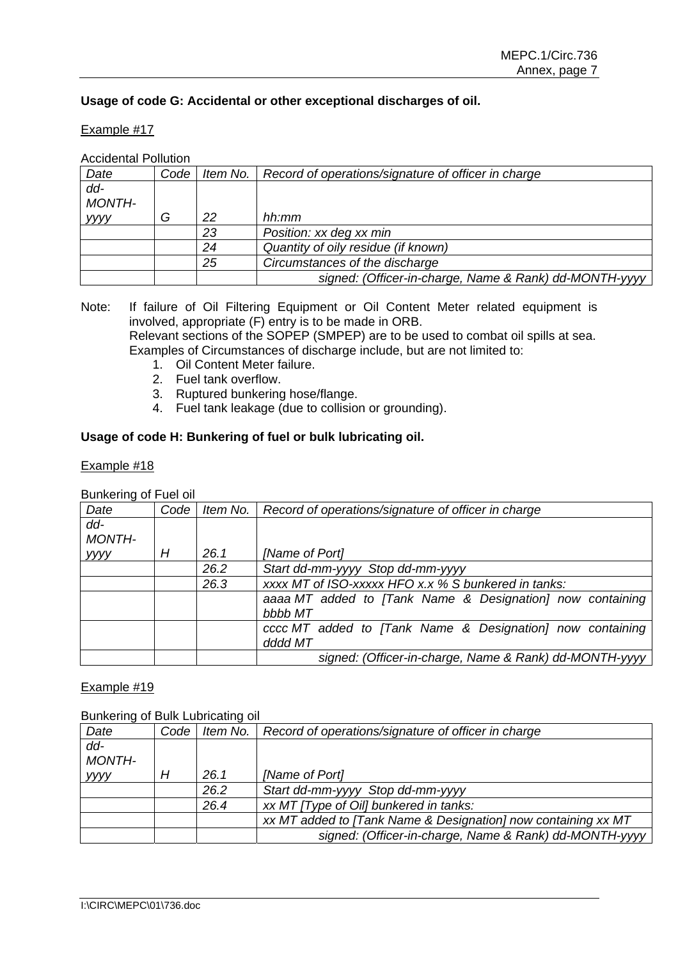# **Usage of code G: Accidental or other exceptional discharges of oil.**

### Example #17

#### Accidental Pollution

| Date          | Code |    | Item No.   Record of operations/signature of officer in charge |
|---------------|------|----|----------------------------------------------------------------|
| dd-           |      |    |                                                                |
| <b>MONTH-</b> |      |    |                                                                |
| уууу          | G    | 22 | hh:mm                                                          |
|               |      | 23 | Position: xx deg xx min                                        |
|               |      | 24 | Quantity of oily residue (if known)                            |
|               |      | 25 | Circumstances of the discharge                                 |
|               |      |    | signed: (Officer-in-charge, Name & Rank) dd-MONTH-yyyy         |

Note: If failure of Oil Filtering Equipment or Oil Content Meter related equipment is involved, appropriate (F) entry is to be made in ORB. Relevant sections of the SOPEP (SMPEP) are to be used to combat oil spills at sea.

Examples of Circumstances of discharge include, but are not limited to:

- 1. Oil Content Meter failure.
- 2. Fuel tank overflow.
- 3. Ruptured bunkering hose/flange.
- 4. Fuel tank leakage (due to collision or grounding).

# **Usage of code H: Bunkering of fuel or bulk lubricating oil.**

### Example #18

## Bunkering of Fuel oil

| Date          | Code | Item No. | Record of operations/signature of officer in charge                  |
|---------------|------|----------|----------------------------------------------------------------------|
| $dd -$        |      |          |                                                                      |
| <b>MONTH-</b> |      |          |                                                                      |
| уууу          | Н    | 26.1     | [Name of Port]                                                       |
|               |      | 26.2     | Start dd-mm-yyyy Stop dd-mm-yyyy                                     |
|               |      | 26.3     | xxxx MT of ISO-xxxxx HFO x.x % S bunkered in tanks:                  |
|               |      |          | aaaa MT added to [Tank Name & Designation] now containing<br>bbbb MT |
|               |      |          | cccc MT added to [Tank Name & Designation] now containing<br>dddd MT |
|               |      |          | signed: (Officer-in-charge, Name & Rank) dd-MONTH-yyyy               |

# Example #19

#### Bunkering of Bulk Lubricating oil

|               | <b>Darlitoring or Daily Labricating on</b> |          |                                                               |  |  |
|---------------|--------------------------------------------|----------|---------------------------------------------------------------|--|--|
| Date          | Code                                       | Item No. | Record of operations/signature of officer in charge           |  |  |
| dd-           |                                            |          |                                                               |  |  |
| <b>MONTH-</b> |                                            |          |                                                               |  |  |
| <b>VVVV</b>   | Н                                          | 26.1     | [Name of Port]                                                |  |  |
|               |                                            | 26.2     | Start dd-mm-yyyy Stop dd-mm-yyyy                              |  |  |
|               |                                            | 26.4     | xx MT [Type of Oil] bunkered in tanks:                        |  |  |
|               |                                            |          | xx MT added to [Tank Name & Designation] now containing xx MT |  |  |
|               |                                            |          | signed: (Officer-in-charge, Name & Rank) dd-MONTH-yyyy        |  |  |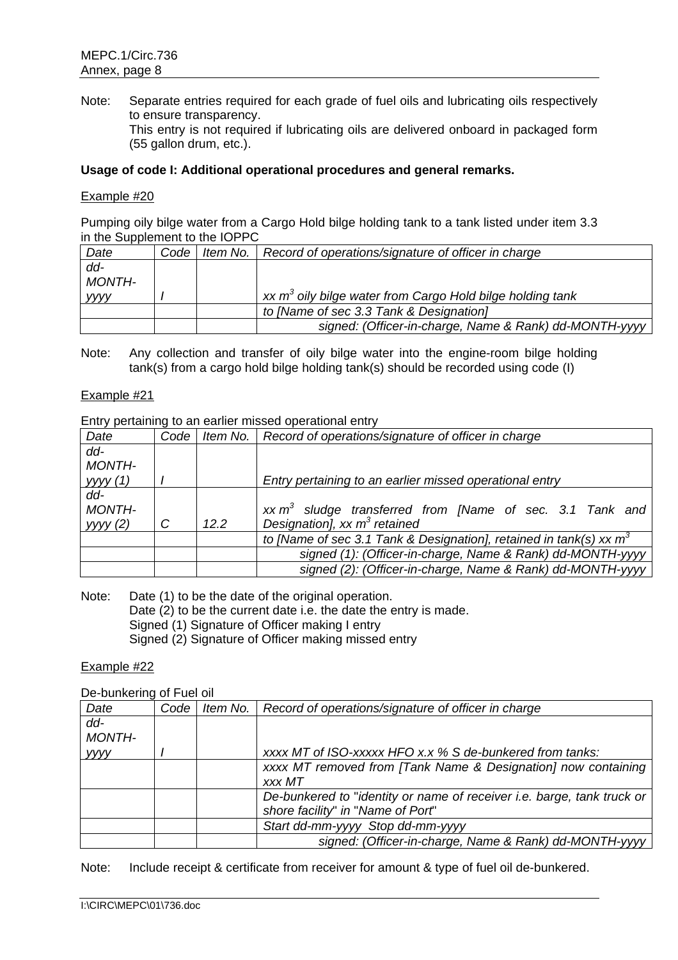Note: Separate entries required for each grade of fuel oils and lubricating oils respectively to ensure transparency. This entry is not required if lubricating oils are delivered onboard in packaged form (55 gallon drum, etc.).

# **Usage of code I: Additional operational procedures and general remarks.**

#### Example #20

Pumping oily bilge water from a Cargo Hold bilge holding tank to a tank listed under item 3.3 in the Supplement to the IOPPC

| Date          | Code | I Item No.   Record of operations/signature of officer in charge |
|---------------|------|------------------------------------------------------------------|
| dd-           |      |                                                                  |
| <b>MONTH-</b> |      |                                                                  |
| <b>VVVV</b>   |      | xx $m3$ oily bilge water from Cargo Hold bilge holding tank      |
|               |      | to [Name of sec 3.3 Tank & Designation]                          |
|               |      | signed: (Officer-in-charge, Name & Rank) dd-MONTH-yyyy           |

Note: Any collection and transfer of oily bilge water into the engine-room bilge holding tank(s) from a cargo hold bilge holding tank(s) should be recorded using code (I)

#### Example #21

Entry pertaining to an earlier missed operational entry

| Date          | Code | Item No. | Record of operations/signature of officer in charge                   |
|---------------|------|----------|-----------------------------------------------------------------------|
| dd-           |      |          |                                                                       |
| <b>MONTH-</b> |      |          |                                                                       |
| уууу (1)      |      |          | Entry pertaining to an earlier missed operational entry               |
| dd-           |      |          |                                                                       |
| <b>MONTH-</b> |      |          | $xx m3$ sludge transferred from [Name of sec. 3.1 Tank and            |
| yyy(2)        | C    | 12.2     | Designation], xx $m^3$ retained                                       |
|               |      |          | to [Name of sec 3.1 Tank & Designation], retained in tank(s) xx $m^3$ |
|               |      |          | signed (1): (Officer-in-charge, Name & Rank) dd-MONTH-yyyy            |
|               |      |          | signed (2): (Officer-in-charge, Name & Rank) dd-MONTH-yyyy            |

Note: Date (1) to be the date of the original operation.

Date (2) to be the current date i.e. the date the entry is made.

Signed (1) Signature of Officer making I entry

Signed (2) Signature of Officer making missed entry

#### Example #22

De-bunkering of Fuel oil

| Date          | Code | Item No. | Record of operations/signature of officer in charge                    |
|---------------|------|----------|------------------------------------------------------------------------|
| $dd -$        |      |          |                                                                        |
| <b>MONTH-</b> |      |          |                                                                        |
| уууу          |      |          | xxxx MT of ISO-xxxxx HFO x.x % S de-bunkered from tanks:               |
|               |      |          | xxxx MT removed from [Tank Name & Designation] now containing          |
|               |      |          | xxx MT                                                                 |
|               |      |          | De-bunkered to "identity or name of receiver i.e. barge, tank truck or |
|               |      |          | shore facility" in "Name of Port"                                      |
|               |      |          | Start dd-mm-yyyy Stop dd-mm-yyyy                                       |
|               |      |          | signed: (Officer-in-charge, Name & Rank) dd-MONTH-yyyy                 |

Note: Include receipt & certificate from receiver for amount & type of fuel oil de-bunkered.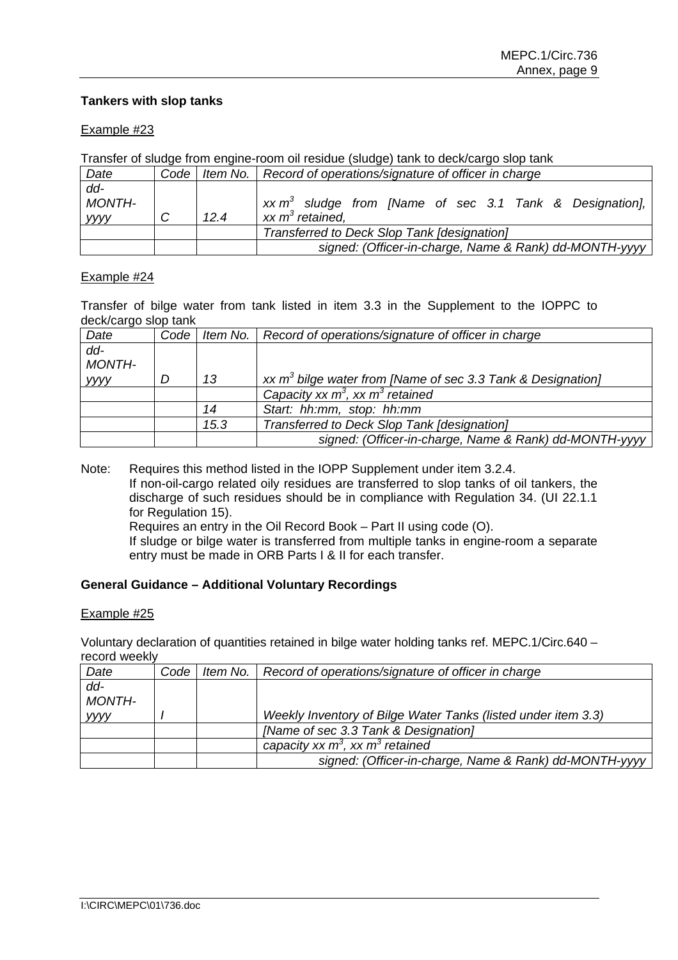# **Tankers with slop tanks**

#### Example #23

| Transfer of sludge from engine-room oil residue (sludge) tank to deck/cargo slop tank |   |      |                                                                       |  |
|---------------------------------------------------------------------------------------|---|------|-----------------------------------------------------------------------|--|
| Date                                                                                  |   |      | Code   Item No.   Record of operations/signature of officer in charge |  |
| $dd -$                                                                                |   |      |                                                                       |  |
| <b>MONTH-</b>                                                                         |   |      | $xx \, m3$ sludge from [Name of sec 3.1 Tank & Designation],          |  |
| <b>yyyy</b>                                                                           | С | 12.4 | $xx m3$ retained.                                                     |  |
|                                                                                       |   |      | Transferred to Deck Slop Tank [designation]                           |  |
|                                                                                       |   |      | signed: (Officer-in-charge, Name & Rank) dd-MONTH-yyyy                |  |

Transfer of sludge from engine-room oil residue (sludge) tank to deck/cargo slop tank

#### Example #24

Transfer of bilge water from tank listed in item 3.3 in the Supplement to the IOPPC to deck/cargo slop tank

| Date          | Code |      | Item No.   Record of operations/signature of officer in charge |
|---------------|------|------|----------------------------------------------------------------|
| $dd -$        |      |      |                                                                |
| <b>MONTH-</b> |      |      |                                                                |
| <b>yyyy</b>   |      | 13   | xx $m^3$ bilge water from [Name of sec 3.3 Tank & Designation] |
|               |      |      | Capacity xx $m^3$ , xx $m^3$ retained                          |
|               |      | 14   | Start: hh:mm, stop: hh:mm                                      |
|               |      | 15.3 | Transferred to Deck Slop Tank [designation]                    |
|               |      |      | signed: (Officer-in-charge, Name & Rank) dd-MONTH-yyyy         |

Note: Requires this method listed in the IOPP Supplement under item 3.2.4. If non-oil-cargo related oily residues are transferred to slop tanks of oil tankers, the discharge of such residues should be in compliance with Regulation 34. (UI 22.1.1 for Regulation 15). Requires an entry in the Oil Record Book – Part II using code (O). If sludge or bilge water is transferred from multiple tanks in engine-room a separate entry must be made in ORB Parts I & II for each transfer.

### **General Guidance – Additional Voluntary Recordings**

#### Example #25

Voluntary declaration of quantities retained in bilge water holding tanks ref. MEPC.1/Circ.640 – record weekly

| Date          | Code | Item No.   Record of operations/signature of officer in charge |
|---------------|------|----------------------------------------------------------------|
| $dd -$        |      |                                                                |
| <b>MONTH-</b> |      |                                                                |
| <b>yyyy</b>   |      | Weekly Inventory of Bilge Water Tanks (listed under item 3.3)  |
|               |      | [Name of sec 3.3 Tank & Designation]                           |
|               |      | capacity xx $m^3$ , xx $m^3$ retained                          |
|               |      | signed: (Officer-in-charge, Name & Rank) dd-MONTH-yyyy         |